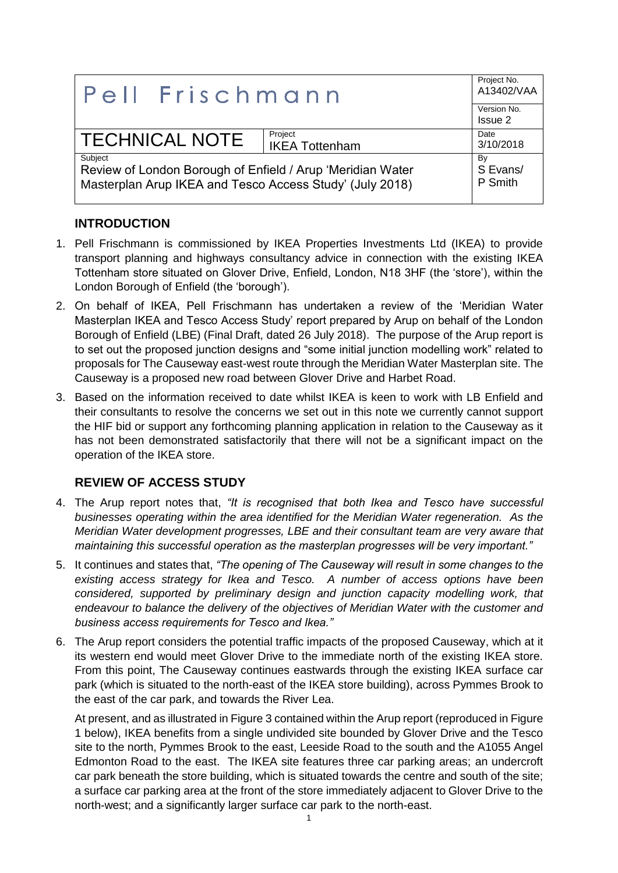| <b>Pell Frischmann</b>                                                                                                            |                                  | Project No.<br>A13402/VAA<br>Version No.<br>Issue 2 |
|-----------------------------------------------------------------------------------------------------------------------------------|----------------------------------|-----------------------------------------------------|
| <b>TECHNICAL NOTE</b>                                                                                                             | Project<br><b>IKEA Tottenham</b> | Date<br>3/10/2018                                   |
| Subject<br>Review of London Borough of Enfield / Arup 'Meridian Water<br>Masterplan Arup IKEA and Tesco Access Study' (July 2018) |                                  | By<br>S Evans/<br>P Smith                           |

## **INTRODUCTION**

- 1. Pell Frischmann is commissioned by IKEA Properties Investments Ltd (IKEA) to provide transport planning and highways consultancy advice in connection with the existing IKEA Tottenham store situated on Glover Drive, Enfield, London, N18 3HF (the 'store'), within the London Borough of Enfield (the 'borough').
- 2. On behalf of IKEA, Pell Frischmann has undertaken a review of the 'Meridian Water Masterplan IKEA and Tesco Access Study' report prepared by Arup on behalf of the London Borough of Enfield (LBE) (Final Draft, dated 26 July 2018). The purpose of the Arup report is to set out the proposed junction designs and "some initial junction modelling work" related to proposals for The Causeway east-west route through the Meridian Water Masterplan site. The Causeway is a proposed new road between Glover Drive and Harbet Road.
- 3. Based on the information received to date whilst IKEA is keen to work with LB Enfield and their consultants to resolve the concerns we set out in this note we currently cannot support the HIF bid or support any forthcoming planning application in relation to the Causeway as it has not been demonstrated satisfactorily that there will not be a significant impact on the operation of the IKEA store.

## **REVIEW OF ACCESS STUDY**

- 4. The Arup report notes that, *"It is recognised that both Ikea and Tesco have successful businesses operating within the area identified for the Meridian Water regeneration. As the Meridian Water development progresses, LBE and their consultant team are very aware that maintaining this successful operation as the masterplan progresses will be very important."*
- 5. It continues and states that, *"The opening of The Causeway will result in some changes to the existing access strategy for Ikea and Tesco. A number of access options have been considered, supported by preliminary design and junction capacity modelling work, that endeavour to balance the delivery of the objectives of Meridian Water with the customer and business access requirements for Tesco and Ikea."*
- 6. The Arup report considers the potential traffic impacts of the proposed Causeway, which at it its western end would meet Glover Drive to the immediate north of the existing IKEA store. From this point, The Causeway continues eastwards through the existing IKEA surface car park (which is situated to the north-east of the IKEA store building), across Pymmes Brook to the east of the car park, and towards the River Lea.

At present, and as illustrated in Figure 3 contained within the Arup report (reproduced in Figure 1 below), IKEA benefits from a single undivided site bounded by Glover Drive and the Tesco site to the north, Pymmes Brook to the east, Leeside Road to the south and the A1055 Angel Edmonton Road to the east. The IKEA site features three car parking areas; an undercroft car park beneath the store building, which is situated towards the centre and south of the site; a surface car parking area at the front of the store immediately adjacent to Glover Drive to the north-west; and a significantly larger surface car park to the north-east.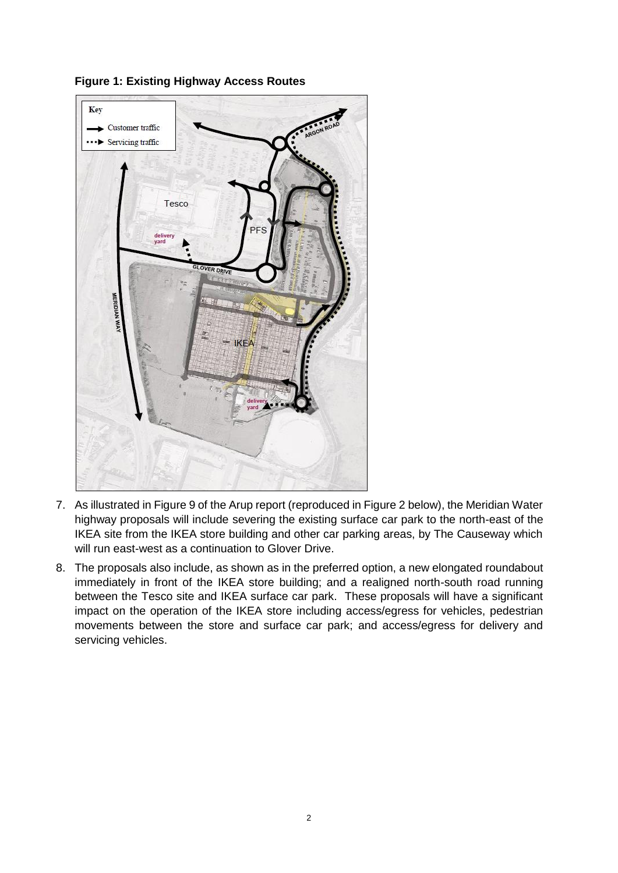

**Figure 1: Existing Highway Access Routes**

- 7. As illustrated in Figure 9 of the Arup report (reproduced in Figure 2 below), the Meridian Water highway proposals will include severing the existing surface car park to the north-east of the IKEA site from the IKEA store building and other car parking areas, by The Causeway which will run east-west as a continuation to Glover Drive.
- 8. The proposals also include, as shown as in the preferred option, a new elongated roundabout immediately in front of the IKEA store building; and a realigned north-south road running between the Tesco site and IKEA surface car park. These proposals will have a significant impact on the operation of the IKEA store including access/egress for vehicles, pedestrian movements between the store and surface car park; and access/egress for delivery and servicing vehicles.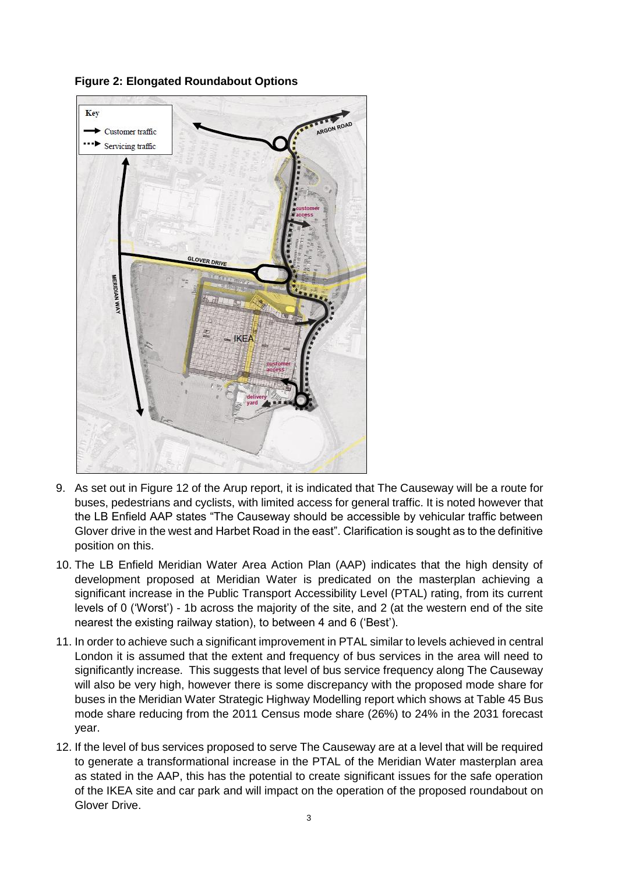

**Figure 2: Elongated Roundabout Options**

- 9. As set out in Figure 12 of the Arup report, it is indicated that The Causeway will be a route for buses, pedestrians and cyclists, with limited access for general traffic. It is noted however that the LB Enfield AAP states "The Causeway should be accessible by vehicular traffic between Glover drive in the west and Harbet Road in the east". Clarification is sought as to the definitive position on this.
- 10. The LB Enfield Meridian Water Area Action Plan (AAP) indicates that the high density of development proposed at Meridian Water is predicated on the masterplan achieving a significant increase in the Public Transport Accessibility Level (PTAL) rating, from its current levels of 0 ('Worst') - 1b across the majority of the site, and 2 (at the western end of the site nearest the existing railway station), to between 4 and 6 ('Best').
- 11. In order to achieve such a significant improvement in PTAL similar to levels achieved in central London it is assumed that the extent and frequency of bus services in the area will need to significantly increase. This suggests that level of bus service frequency along The Causeway will also be very high, however there is some discrepancy with the proposed mode share for buses in the Meridian Water Strategic Highway Modelling report which shows at Table 45 Bus mode share reducing from the 2011 Census mode share (26%) to 24% in the 2031 forecast year.
- 12. If the level of bus services proposed to serve The Causeway are at a level that will be required to generate a transformational increase in the PTAL of the Meridian Water masterplan area as stated in the AAP, this has the potential to create significant issues for the safe operation of the IKEA site and car park and will impact on the operation of the proposed roundabout on Glover Drive.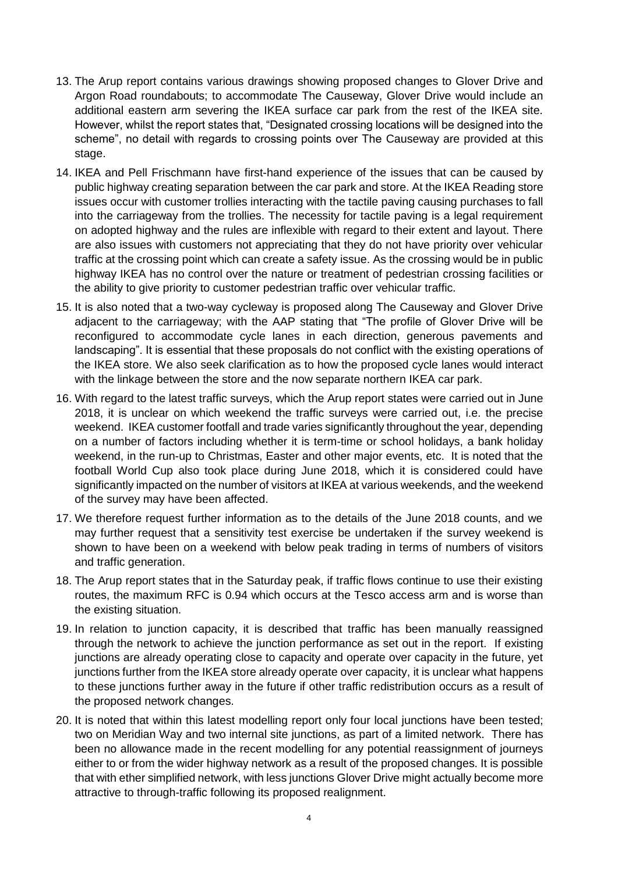- 13. The Arup report contains various drawings showing proposed changes to Glover Drive and Argon Road roundabouts; to accommodate The Causeway, Glover Drive would include an additional eastern arm severing the IKEA surface car park from the rest of the IKEA site. However, whilst the report states that, "Designated crossing locations will be designed into the scheme", no detail with regards to crossing points over The Causeway are provided at this stage.
- 14. IKEA and Pell Frischmann have first-hand experience of the issues that can be caused by public highway creating separation between the car park and store. At the IKEA Reading store issues occur with customer trollies interacting with the tactile paving causing purchases to fall into the carriageway from the trollies. The necessity for tactile paving is a legal requirement on adopted highway and the rules are inflexible with regard to their extent and layout. There are also issues with customers not appreciating that they do not have priority over vehicular traffic at the crossing point which can create a safety issue. As the crossing would be in public highway IKEA has no control over the nature or treatment of pedestrian crossing facilities or the ability to give priority to customer pedestrian traffic over vehicular traffic.
- 15. It is also noted that a two-way cycleway is proposed along The Causeway and Glover Drive adjacent to the carriageway; with the AAP stating that "The profile of Glover Drive will be reconfigured to accommodate cycle lanes in each direction, generous pavements and landscaping". It is essential that these proposals do not conflict with the existing operations of the IKEA store. We also seek clarification as to how the proposed cycle lanes would interact with the linkage between the store and the now separate northern IKEA car park.
- 16. With regard to the latest traffic surveys, which the Arup report states were carried out in June 2018, it is unclear on which weekend the traffic surveys were carried out, i.e. the precise weekend. IKEA customer footfall and trade varies significantly throughout the year, depending on a number of factors including whether it is term-time or school holidays, a bank holiday weekend, in the run-up to Christmas, Easter and other major events, etc. It is noted that the football World Cup also took place during June 2018, which it is considered could have significantly impacted on the number of visitors at IKEA at various weekends, and the weekend of the survey may have been affected.
- 17. We therefore request further information as to the details of the June 2018 counts, and we may further request that a sensitivity test exercise be undertaken if the survey weekend is shown to have been on a weekend with below peak trading in terms of numbers of visitors and traffic generation.
- 18. The Arup report states that in the Saturday peak, if traffic flows continue to use their existing routes, the maximum RFC is 0.94 which occurs at the Tesco access arm and is worse than the existing situation.
- 19. In relation to junction capacity, it is described that traffic has been manually reassigned through the network to achieve the junction performance as set out in the report. If existing junctions are already operating close to capacity and operate over capacity in the future, yet junctions further from the IKEA store already operate over capacity, it is unclear what happens to these junctions further away in the future if other traffic redistribution occurs as a result of the proposed network changes.
- 20. It is noted that within this latest modelling report only four local junctions have been tested; two on Meridian Way and two internal site junctions, as part of a limited network. There has been no allowance made in the recent modelling for any potential reassignment of journeys either to or from the wider highway network as a result of the proposed changes. It is possible that with ether simplified network, with less junctions Glover Drive might actually become more attractive to through-traffic following its proposed realignment.